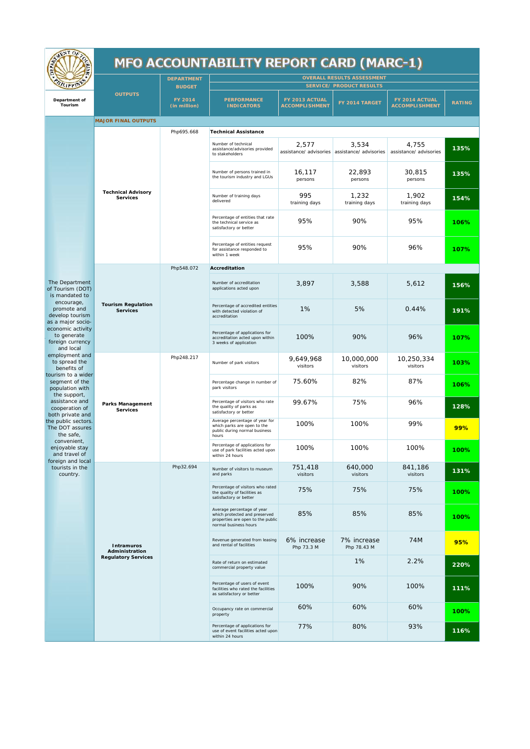| <b>AENTOP</b>                                                                                                                                                                                                                                                                                                                                                                                                                                                                                                                                    |                                                     | <b>MFO ACCOUNTABILITY REPORT CARD (MARC-1)</b> |                                                                                                                           |                                          |                                                        |                                         |               |  |
|--------------------------------------------------------------------------------------------------------------------------------------------------------------------------------------------------------------------------------------------------------------------------------------------------------------------------------------------------------------------------------------------------------------------------------------------------------------------------------------------------------------------------------------------------|-----------------------------------------------------|------------------------------------------------|---------------------------------------------------------------------------------------------------------------------------|------------------------------------------|--------------------------------------------------------|-----------------------------------------|---------------|--|
| <b>Tept?</b>                                                                                                                                                                                                                                                                                                                                                                                                                                                                                                                                     |                                                     | <b>DEPARTMENT</b><br><b>BUDGET</b>             | <b>OVERALL RESULTS ASSESSMENT</b><br>SERVICE/ PRODUCT RESULTS                                                             |                                          |                                                        |                                         |               |  |
| Department of<br>Tourism                                                                                                                                                                                                                                                                                                                                                                                                                                                                                                                         | <b>OUTPUTS</b>                                      | FY 2014<br>(in million)                        | <b>PERFORMANCE</b><br><b>INDICATORS</b>                                                                                   | FY 2013 ACTUAL<br><b>ACCOMPLI SHMENT</b> | FY 2014 TARGET                                         | FY 2014 ACTUAL<br><b>ACCOMPLISHMENT</b> | <b>RATING</b> |  |
|                                                                                                                                                                                                                                                                                                                                                                                                                                                                                                                                                  | MAJOR FINAL OUTPUTS                                 |                                                |                                                                                                                           |                                          |                                                        |                                         |               |  |
|                                                                                                                                                                                                                                                                                                                                                                                                                                                                                                                                                  | <b>Technical Advisory</b><br>Services               | Php695.668                                     | <b>Technical Assistance</b>                                                                                               |                                          |                                                        |                                         |               |  |
|                                                                                                                                                                                                                                                                                                                                                                                                                                                                                                                                                  |                                                     |                                                | Number of technical<br>assistance/advisories provided<br>to stakeholders                                                  | 2,577                                    | 3,534<br>assistance/ advisories assistance/ advisories | 4,755<br>assistance/ advisories         | 135%          |  |
|                                                                                                                                                                                                                                                                                                                                                                                                                                                                                                                                                  |                                                     |                                                | Number of persons trained in<br>the tourism industry and LGUs                                                             | 16,117<br>persons                        | 22,893<br>persons                                      | 30,815<br>persons                       | 135%          |  |
|                                                                                                                                                                                                                                                                                                                                                                                                                                                                                                                                                  |                                                     |                                                | Number of training days<br>delivered                                                                                      | 995<br>training days                     | 1,232<br>training days                                 | 1,902<br>training days                  | 154%          |  |
|                                                                                                                                                                                                                                                                                                                                                                                                                                                                                                                                                  |                                                     |                                                | Percentage of entities that rate<br>the technical service as<br>satisfactory or better                                    | 95%                                      | 90%                                                    | 95%                                     | 106%          |  |
|                                                                                                                                                                                                                                                                                                                                                                                                                                                                                                                                                  |                                                     |                                                | Percentage of entities request<br>for assistance responded to<br>within 1 week                                            | 95%                                      | 90%                                                    | 96%                                     | 107%          |  |
|                                                                                                                                                                                                                                                                                                                                                                                                                                                                                                                                                  |                                                     | Php548.072                                     | Accreditation                                                                                                             |                                          |                                                        |                                         |               |  |
| The Department<br>of Tourism (DOT)<br>is mandated to<br>encourage,<br>promote and<br>develop tourism<br>as a major socio-<br>economic activity<br>to generate<br>foreign currency<br>and local<br>employment and<br>to spread the<br>benefits of<br>tourism to a wider<br>segment of the<br>population with<br>the support,<br>assistance and<br>cooperation of<br>both private and<br>the public sectors.<br>The DOT assures<br>the safe,<br>convenient,<br>enjoyable stay<br>and travel of<br>foreign and local<br>tourists in the<br>country. | Tourism Regulation<br>Services                      |                                                | Number of accreditation<br>applications acted upon                                                                        | 3,897                                    | 3,588                                                  | 5,612                                   | 156%          |  |
|                                                                                                                                                                                                                                                                                                                                                                                                                                                                                                                                                  |                                                     |                                                | Percentage of accredited entities<br>with detected violation of<br>accreditation                                          | 1%                                       | 5%                                                     | 0.44%                                   | 191%          |  |
|                                                                                                                                                                                                                                                                                                                                                                                                                                                                                                                                                  |                                                     |                                                | Percentage of applications for<br>accreditation acted upon within<br>3 weeks of application                               | 100%                                     | 90%                                                    | 96%                                     | 107%          |  |
|                                                                                                                                                                                                                                                                                                                                                                                                                                                                                                                                                  | Parks Management<br>Services                        | Php248.217                                     | Number of park visitors                                                                                                   | 9,649,968<br>visitors                    | 10,000,000<br>visitors                                 | 10,250,334<br>visitors                  | 103%          |  |
|                                                                                                                                                                                                                                                                                                                                                                                                                                                                                                                                                  |                                                     |                                                | Percentage change in number of<br>park visitors                                                                           | 75.60%                                   | 82%                                                    | 87%                                     | 106%          |  |
|                                                                                                                                                                                                                                                                                                                                                                                                                                                                                                                                                  |                                                     |                                                | Percentage of visitors who rate<br>the quality of parks as<br>satisfactory or better                                      | 99.67%                                   | 75%                                                    | 96%                                     | 128%          |  |
|                                                                                                                                                                                                                                                                                                                                                                                                                                                                                                                                                  |                                                     |                                                | Average percentage of year for<br>which parks are open to the<br>public during normal business<br>hours                   | 100%                                     | 100%                                                   | 99%                                     | 99%           |  |
|                                                                                                                                                                                                                                                                                                                                                                                                                                                                                                                                                  |                                                     |                                                | Percentage of applications for<br>use of park facilities acted upon<br>within 24 hours                                    | 100%                                     | 100%                                                   | 100%                                    | 100%          |  |
|                                                                                                                                                                                                                                                                                                                                                                                                                                                                                                                                                  | Intramuros<br>Administration<br>Regulatory Services | Php32.694                                      | Number of visitors to museum<br>and parks                                                                                 | 751,418<br>visitors                      | 640,000<br>visitors                                    | 841,186<br>visitors                     | 131%          |  |
|                                                                                                                                                                                                                                                                                                                                                                                                                                                                                                                                                  |                                                     |                                                | Percentage of visitors who rated<br>the quality of facilities as<br>satisfactory or better                                | 75%                                      | 75%                                                    | 75%                                     | 100%          |  |
|                                                                                                                                                                                                                                                                                                                                                                                                                                                                                                                                                  |                                                     |                                                | Average percentage of year<br>which protected and preserved<br>properties are open to the public<br>normal business hours | 85%                                      | 85%                                                    | 85%                                     | 100%          |  |
|                                                                                                                                                                                                                                                                                                                                                                                                                                                                                                                                                  |                                                     |                                                | Revenue generated from leasing<br>and rental of facilities                                                                | 6% increase<br>Php 73.3 M                | 7% increase<br>Php 78.43 M                             | 74M                                     | 95%           |  |
|                                                                                                                                                                                                                                                                                                                                                                                                                                                                                                                                                  |                                                     |                                                | Rate of return on estimated<br>commercial property value                                                                  |                                          | 1%                                                     | 2.2%                                    | 220%          |  |
|                                                                                                                                                                                                                                                                                                                                                                                                                                                                                                                                                  |                                                     |                                                | Percentage of users of event<br>facilities who rated the facilities<br>as satisfactory or better                          | 100%                                     | 90%                                                    | 100%                                    | 111%          |  |
|                                                                                                                                                                                                                                                                                                                                                                                                                                                                                                                                                  |                                                     |                                                | Occupancy rate on commercial<br>property                                                                                  | 60%                                      | 60%                                                    | 60%                                     | 100%          |  |
|                                                                                                                                                                                                                                                                                                                                                                                                                                                                                                                                                  |                                                     |                                                | Percentage of applications for<br>use of event facilities acted upon<br>within 24 hours                                   | 77%                                      | 80%                                                    | 93%                                     | 116%          |  |